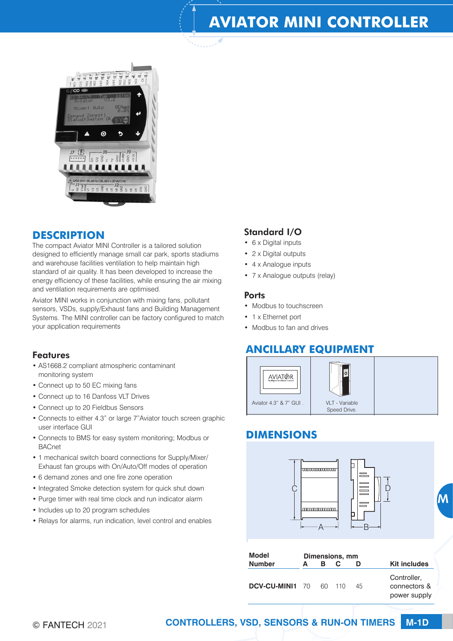# **AVIATOR MINI CONTROLLER**



## **DESCRIPTION**

The compact Aviator MINI Controller is a tailored solution designed to efficiently manage small car park, sports stadiums and warehouse facilities ventilation to help maintain high standard of air quality. It has been developed to increase the energy efficiency of these facilities, while ensuring the air mixing and ventilation requirements are optimised.

Aviator MINI works in conjunction with mixing fans, pollutant sensors, VSDs, supply/Exhaust fans and Building Management Systems. The MINI controller can be factory configured to match your application requirements

#### Features

- AS1668.2 compliant atmospheric contaminant monitoring system
- Connect up to 50 EC mixing fans
- Connect up to 16 Danfoss VLT Drives
- Connect up to 20 Fieldbus Sensors
- Connects to either 4.3" or large 7"Aviator touch screen graphic user interface GUI
- Connects to BMS for easy system monitoring; Modbus or **BACnet**
- 1 mechanical switch board connections for Supply/Mixer/ Exhaust fan groups with On/Auto/Off modes of operation
- 6 demand zones and one fire zone operation
- Integrated Smoke detection system for quick shut down
- Purge timer with real time clock and run indicator alarm
- Includes up to 20 program schedules
- Relays for alarms, run indication, level control and enables

### Standard I/O

- 6 x Digital inputs
- 2 x Digital outputs
- 4 x Analogue inputs
- 7 x Analogue outputs (relay)

#### **Ports**

- Modbus to touchscreen
- 1 x Ethernet port
- Modbus to fan and drives

## **ANCILLARY EQUIPMENT**



## **DIMENSIONS**



| <b>Model</b>    | Dimensions, mm |        |  |    |                                             |
|-----------------|----------------|--------|--|----|---------------------------------------------|
| <b>Number</b>   | A              | B.     |  |    | <b>Kit includes</b>                         |
| DCV-CU-MINI1 70 |                | 60 110 |  | 45 | Controller,<br>connectors &<br>power supply |